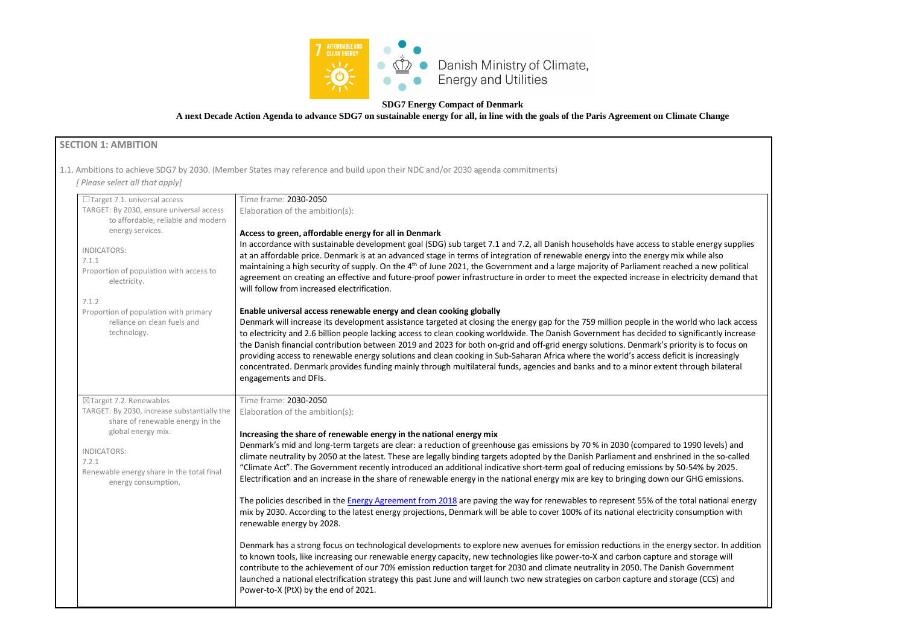

## **SDG7 Energy Compact of Denmark**

**A next Decade Action Agenda to advance SDG7 on sustainable energy for all, in line with the goals of the Paris Agreement on Climate Change**

# **SECTION 1: AMBITION**

1.1. Ambitions to achieve SDG7 by 2030. (Member States may reference and build upon their NDC and/or 2030 agenda commitments)

*[ Please select all that apply]* 



| $\Box$ Target 7.1. universal access                                             | Time frame: 2030-2050                                                                                                                                                                                                                                                                                                                                                                                                                                                                                                                                                                                                                                                                                                                 |
|---------------------------------------------------------------------------------|---------------------------------------------------------------------------------------------------------------------------------------------------------------------------------------------------------------------------------------------------------------------------------------------------------------------------------------------------------------------------------------------------------------------------------------------------------------------------------------------------------------------------------------------------------------------------------------------------------------------------------------------------------------------------------------------------------------------------------------|
| TARGET: By 2030, ensure universal access<br>to affordable, reliable and modern  | Elaboration of the ambition(s):                                                                                                                                                                                                                                                                                                                                                                                                                                                                                                                                                                                                                                                                                                       |
| energy services.                                                                | Access to green, affordable energy for all in Denmark                                                                                                                                                                                                                                                                                                                                                                                                                                                                                                                                                                                                                                                                                 |
|                                                                                 | In accordance with sustainable development goal (SDG) sub target 7.1 and 7.2, all Danish households have access to stable energy sup                                                                                                                                                                                                                                                                                                                                                                                                                                                                                                                                                                                                  |
| INDICATORS:<br>7.1.1                                                            | at an affordable price. Denmark is at an advanced stage in terms of integration of renewable energy into the energy mix while also                                                                                                                                                                                                                                                                                                                                                                                                                                                                                                                                                                                                    |
| Proportion of population with access to                                         | maintaining a high security of supply. On the 4 <sup>th</sup> of June 2021, the Government and a large majority of Parliament reached a new polit                                                                                                                                                                                                                                                                                                                                                                                                                                                                                                                                                                                     |
| electricity.                                                                    | agreement on creating an effective and future-proof power infrastructure in order to meet the expected increase in electricity deman<br>will follow from increased electrification.                                                                                                                                                                                                                                                                                                                                                                                                                                                                                                                                                   |
| 7.1.2                                                                           |                                                                                                                                                                                                                                                                                                                                                                                                                                                                                                                                                                                                                                                                                                                                       |
| Proportion of population with primary                                           | Enable universal access renewable energy and clean cooking globally                                                                                                                                                                                                                                                                                                                                                                                                                                                                                                                                                                                                                                                                   |
| reliance on clean fuels and<br>technology.                                      | Denmark will increase its development assistance targeted at closing the energy gap for the 759 million people in the world who lack a<br>to electricity and 2.6 billion people lacking access to clean cooking worldwide. The Danish Government has decided to significantly inc<br>the Danish financial contribution between 2019 and 2023 for both on-grid and off-grid energy solutions. Denmark's priority is to focus<br>providing access to renewable energy solutions and clean cooking in Sub-Saharan Africa where the world's access deficit is increasingly<br>concentrated. Denmark provides funding mainly through multilateral funds, agencies and banks and to a minor extent through bilater<br>engagements and DFIs. |
| $\boxtimes$ Target 7.2. Renewables                                              | Time frame: 2030-2050                                                                                                                                                                                                                                                                                                                                                                                                                                                                                                                                                                                                                                                                                                                 |
| TARGET: By 2030, increase substantially the<br>share of renewable energy in the | Elaboration of the ambition(s):                                                                                                                                                                                                                                                                                                                                                                                                                                                                                                                                                                                                                                                                                                       |
| global energy mix.                                                              | Increasing the share of renewable energy in the national energy mix                                                                                                                                                                                                                                                                                                                                                                                                                                                                                                                                                                                                                                                                   |
| <b>INDICATORS:</b>                                                              | Denmark's mid and long-term targets are clear: a reduction of greenhouse gas emissions by 70 % in 2030 (compared to 1990 levels) ar                                                                                                                                                                                                                                                                                                                                                                                                                                                                                                                                                                                                   |
| 7.2.1                                                                           | climate neutrality by 2050 at the latest. These are legally binding targets adopted by the Danish Parliament and enshrined in the so-ca                                                                                                                                                                                                                                                                                                                                                                                                                                                                                                                                                                                               |
| Renewable energy share in the total final<br>energy consumption.                | "Climate Act". The Government recently introduced an additional indicative short-term goal of reducing emissions by 50-54% by 2025<br>Electrification and an increase in the share of renewable energy in the national energy mix are key to bringing down our GHG emissior                                                                                                                                                                                                                                                                                                                                                                                                                                                           |
|                                                                                 | The policies described in the <b>Energy Agreement from 2018</b> are paving the way for renewables to represent 55% of the total national e<br>mix by 2030. According to the latest energy projections, Denmark will be able to cover 100% of its national electricity consumption wit<br>renewable energy by 2028.                                                                                                                                                                                                                                                                                                                                                                                                                    |
|                                                                                 | Denmark has a strong focus on technological developments to explore new avenues for emission reductions in the energy sector. In a<br>to known tools, like increasing our renewable energy capacity, new technologies like power-to-X and carbon capture and storage will<br>contribute to the achievement of our 70% emission reduction target for 2030 and climate neutrality in 2050. The Danish Government<br>launched a national electrification strategy this past June and will launch two new strategies on carbon capture and storage (CCS) and<br>Power-to-X (PtX) by the end of 2021.                                                                                                                                      |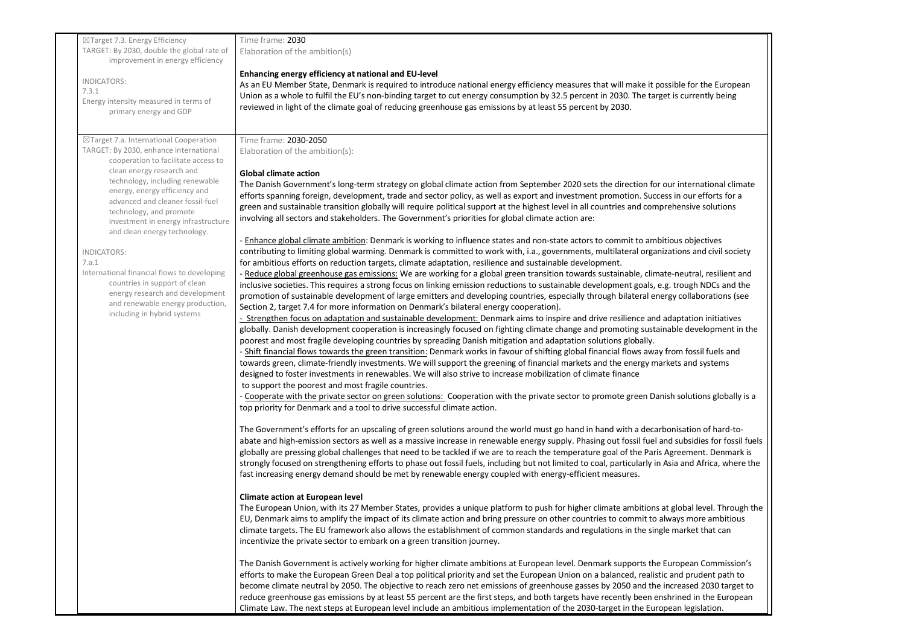| $\boxtimes$ Target 7.3. Energy Efficiency                                                                                                                                                                                                                                                                                                                      | Time frame: 2030                                                                                                                                                                                                                                                                                                                                                                                                                                                                                                                                                                                                                                                                                                                                                                                                                                                                                                                                                                                                                                                                                                                                                                                                                                                                                                                                                                                                                                                                                                                                                                                                                                                                                                                                                                                                                                                                                                                                                             |
|----------------------------------------------------------------------------------------------------------------------------------------------------------------------------------------------------------------------------------------------------------------------------------------------------------------------------------------------------------------|------------------------------------------------------------------------------------------------------------------------------------------------------------------------------------------------------------------------------------------------------------------------------------------------------------------------------------------------------------------------------------------------------------------------------------------------------------------------------------------------------------------------------------------------------------------------------------------------------------------------------------------------------------------------------------------------------------------------------------------------------------------------------------------------------------------------------------------------------------------------------------------------------------------------------------------------------------------------------------------------------------------------------------------------------------------------------------------------------------------------------------------------------------------------------------------------------------------------------------------------------------------------------------------------------------------------------------------------------------------------------------------------------------------------------------------------------------------------------------------------------------------------------------------------------------------------------------------------------------------------------------------------------------------------------------------------------------------------------------------------------------------------------------------------------------------------------------------------------------------------------------------------------------------------------------------------------------------------------|
| TARGET: By 2030, double the global rate of<br>improvement in energy efficiency                                                                                                                                                                                                                                                                                 | Elaboration of the ambition(s)                                                                                                                                                                                                                                                                                                                                                                                                                                                                                                                                                                                                                                                                                                                                                                                                                                                                                                                                                                                                                                                                                                                                                                                                                                                                                                                                                                                                                                                                                                                                                                                                                                                                                                                                                                                                                                                                                                                                               |
| INDICATORS:<br>7.3.1<br>Energy intensity measured in terms of<br>primary energy and GDP                                                                                                                                                                                                                                                                        | Enhancing energy efficiency at national and EU-level<br>As an EU Member State, Denmark is required to introduce national energy efficiency measures that will make it possible for the European<br>Union as a whole to fulfil the EU's non-binding target to cut energy consumption by 32.5 percent in 2030. The target is currently being<br>reviewed in light of the climate goal of reducing greenhouse gas emissions by at least 55 percent by 2030.                                                                                                                                                                                                                                                                                                                                                                                                                                                                                                                                                                                                                                                                                                                                                                                                                                                                                                                                                                                                                                                                                                                                                                                                                                                                                                                                                                                                                                                                                                                     |
| ⊠Target 7.a. International Cooperation<br>TARGET: By 2030, enhance international<br>cooperation to facilitate access to<br>clean energy research and<br>technology, including renewable<br>energy, energy efficiency and<br>advanced and cleaner fossil-fuel<br>technology, and promote<br>investment in energy infrastructure<br>and clean energy technology. | Time frame: 2030-2050<br>Elaboration of the ambition(s):<br><b>Global climate action</b><br>The Danish Government's long-term strategy on global climate action from September 2020 sets the direction for our international climate<br>efforts spanning foreign, development, trade and sector policy, as well as export and investment promotion. Success in our efforts for a<br>green and sustainable transition globally will require political support at the highest level in all countries and comprehensive solutions<br>involving all sectors and stakeholders. The Government's priorities for global climate action are:<br>Enhance global climate ambition: Denmark is working to influence states and non-state actors to commit to ambitious objectives                                                                                                                                                                                                                                                                                                                                                                                                                                                                                                                                                                                                                                                                                                                                                                                                                                                                                                                                                                                                                                                                                                                                                                                                       |
| <b>INDICATORS:</b><br>7.a.1<br>International financial flows to developing<br>countries in support of clean<br>energy research and development<br>and renewable energy production,<br>including in hybrid systems                                                                                                                                              | contributing to limiting global warming. Denmark is committed to work with, i.a., governments, multilateral organizations and civil society<br>for ambitious efforts on reduction targets, climate adaptation, resilience and sustainable development.<br>- Reduce global greenhouse gas emissions: We are working for a global green transition towards sustainable, climate-neutral, resilient and<br>inclusive societies. This requires a strong focus on linking emission reductions to sustainable development goals, e.g. trough NDCs and the<br>promotion of sustainable development of large emitters and developing countries, especially through bilateral energy collaborations (see<br>Section 2, target 7.4 for more information on Denmark's bilateral energy cooperation).<br>- Strengthen focus on adaptation and sustainable development: Denmark aims to inspire and drive resilience and adaptation initiatives<br>globally. Danish development cooperation is increasingly focused on fighting climate change and promoting sustainable development in the<br>poorest and most fragile developing countries by spreading Danish mitigation and adaptation solutions globally.<br>- Shift financial flows towards the green transition: Denmark works in favour of shifting global financial flows away from fossil fuels and<br>towards green, climate-friendly investments. We will support the greening of financial markets and the energy markets and systems<br>designed to foster investments in renewables. We will also strive to increase mobilization of climate finance<br>to support the poorest and most fragile countries.<br>- Cooperate with the private sector on green solutions: Cooperation with the private sector to promote green Danish solutions globally is a<br>top priority for Denmark and a tool to drive successful climate action.                                                                                       |
|                                                                                                                                                                                                                                                                                                                                                                | The Government's efforts for an upscaling of green solutions around the world must go hand in hand with a decarbonisation of hard-to-<br>abate and high-emission sectors as well as a massive increase in renewable energy supply. Phasing out fossil fuel and subsidies for fossil fuels<br>globally are pressing global challenges that need to be tackled if we are to reach the temperature goal of the Paris Agreement. Denmark is<br>strongly focused on strengthening efforts to phase out fossil fuels, including but not limited to coal, particularly in Asia and Africa, where the<br>fast increasing energy demand should be met by renewable energy coupled with energy-efficient measures.<br><b>Climate action at European level</b><br>The European Union, with its 27 Member States, provides a unique platform to push for higher climate ambitions at global level. Through the<br>EU, Denmark aims to amplify the impact of its climate action and bring pressure on other countries to commit to always more ambitious<br>climate targets. The EU framework also allows the establishment of common standards and regulations in the single market that can<br>incentivize the private sector to embark on a green transition journey.<br>The Danish Government is actively working for higher climate ambitions at European level. Denmark supports the European Commission's<br>efforts to make the European Green Deal a top political priority and set the European Union on a balanced, realistic and prudent path to<br>become climate neutral by 2050. The objective to reach zero net emissions of greenhouse gasses by 2050 and the increased 2030 target to<br>reduce greenhouse gas emissions by at least 55 percent are the first steps, and both targets have recently been enshrined in the European<br>Climate Law. The next steps at European level include an ambitious implementation of the 2030-target in the European legislation. |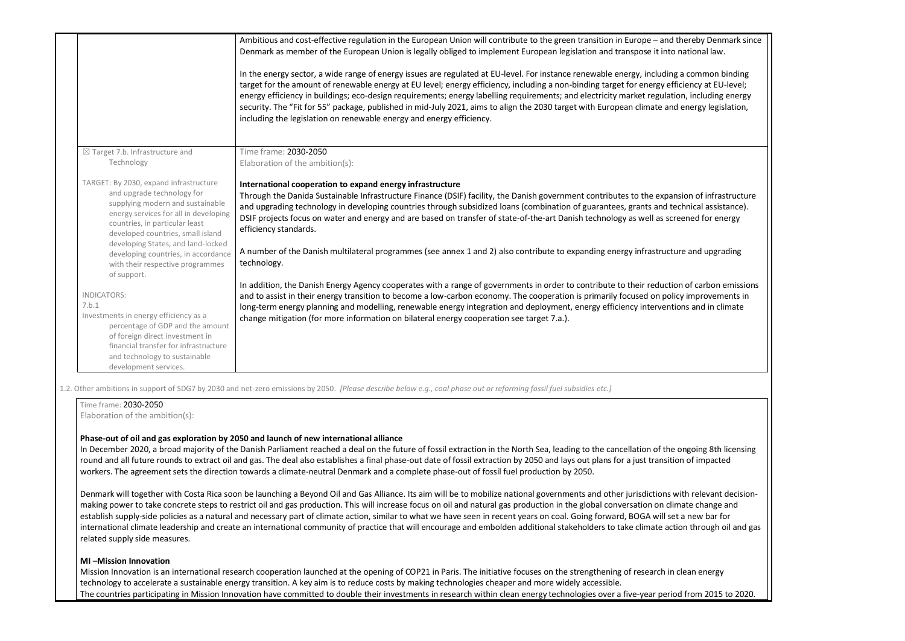|                                                                                                                                                                                                                                                               | Ambitious and cost-effective regulation in the European Union will contribute to the green transition in Europe - and thereby Denmark since<br>Denmark as member of the European Union is legally obliged to implement European legislation and transpose it into national law.<br>In the energy sector, a wide range of energy issues are regulated at EU-level. For instance renewable energy, including a common binding<br>target for the amount of renewable energy at EU level; energy efficiency, including a non-binding target for energy efficiency at EU-level;<br>energy efficiency in buildings; eco-design requirements; energy labelling requirements; and electricity market regulation, including energy<br>security. The "Fit for 55" package, published in mid-July 2021, aims to align the 2030 target with European climate and energy legislation,<br>including the legislation on renewable energy and energy efficiency. |
|---------------------------------------------------------------------------------------------------------------------------------------------------------------------------------------------------------------------------------------------------------------|--------------------------------------------------------------------------------------------------------------------------------------------------------------------------------------------------------------------------------------------------------------------------------------------------------------------------------------------------------------------------------------------------------------------------------------------------------------------------------------------------------------------------------------------------------------------------------------------------------------------------------------------------------------------------------------------------------------------------------------------------------------------------------------------------------------------------------------------------------------------------------------------------------------------------------------------------|
| $\boxtimes$ Target 7.b. Infrastructure and<br>Technology                                                                                                                                                                                                      | Time frame: 2030-2050<br>Elaboration of the ambition(s):                                                                                                                                                                                                                                                                                                                                                                                                                                                                                                                                                                                                                                                                                                                                                                                                                                                                                         |
| TARGET: By 2030, expand infrastructure<br>and upgrade technology for<br>supplying modern and sustainable<br>energy services for all in developing<br>countries, in particular least<br>developed countries, small island                                      | International cooperation to expand energy infrastructure<br>Through the Danida Sustainable Infrastructure Finance (DSIF) facility, the Danish government contributes to the expansion of infrastructure<br>and upgrading technology in developing countries through subsidized loans (combination of guarantees, grants and technical assistance).<br>DSIF projects focus on water and energy and are based on transfer of state-of-the-art Danish technology as well as screened for energy<br>efficiency standards.                                                                                                                                                                                                                                                                                                                                                                                                                           |
| developing States, and land-locked<br>developing countries, in accordance<br>with their respective programmes                                                                                                                                                 | A number of the Danish multilateral programmes (see annex 1 and 2) also contribute to expanding energy infrastructure and upgrading<br>technology.                                                                                                                                                                                                                                                                                                                                                                                                                                                                                                                                                                                                                                                                                                                                                                                               |
| of support.<br><b>INDICATORS:</b><br>7.b.1<br>Investments in energy efficiency as a<br>percentage of GDP and the amount<br>of foreign direct investment in<br>financial transfer for infrastructure<br>and technology to sustainable<br>development services. | In addition, the Danish Energy Agency cooperates with a range of governments in order to contribute to their reduction of carbon emissions<br>and to assist in their energy transition to become a low-carbon economy. The cooperation is primarily focused on policy improvements in<br>long-term energy planning and modelling, renewable energy integration and deployment, energy efficiency interventions and in climate<br>change mitigation (for more information on bilateral energy cooperation see target 7.a.).                                                                                                                                                                                                                                                                                                                                                                                                                       |

In December 2020, a broad majority of the Danish Parliament reached a deal on the future of fossil extraction in the North Sea, leading to the cancellation of the round and all future rounds to extract oil and gas. The deal also establishes a final phase-out date of fossil extraction by 2050 and lays out plans for a just transitio workers. The agreement sets the direction towards a climate-neutral Denmark and a complete phase-out of fossil fuel production by 2050.

Denmark will together with Costa Rica soon be launching a Beyond Oil and Gas Alliance. Its aim will be to mobilize national governments and other jurisdictions w making power to take concrete steps to restrict oil and gas production. This will increase focus on oil and natural gas production in the global conversation on clim establish supply-side policies as a natural and necessary part of climate action, similar to what we have seen in recent years on coal. Going forward, BOGA will set international climate leadership and create an international community of practice that will encourage and embolden additional stakeholders to take climate action related supply side measures.

1.2. Other ambitions in support of SDG7 by 2030 and net-zero emissions by 2050. *[Please describe below e.g., coal phase out or reforming fossil fuel subsidies etc.]*

| Elaboration of the ambition(s):                                                       |  |
|---------------------------------------------------------------------------------------|--|
| Phase-out of oil and gas exploration by 2050 and launch of new international alliance |  |

## **MI –Mission Innovation**

Mission Innovation is an international research cooperation launched at the opening of COP21 in Paris. The initiative focuses on the strengthening of research in technology to accelerate a sustainable energy transition. A key aim is to reduce costs by making technologies cheaper and more widely accessible. The countries participating in Mission Innovation have committed to double their investments in research within clean energy technologies over a five-year period

| thereby Denmark since<br>national law.                                                   |  |
|------------------------------------------------------------------------------------------|--|
| a common binding<br>iciency at EU-level;<br>on, including energy                         |  |
| energy legislation,                                                                      |  |
|                                                                                          |  |
| sion of infrastructure<br>chnical assistance).<br>eened for energy                       |  |
| ire and upgrading                                                                        |  |
| n of carbon emissions<br>cy improvements in<br>ons and in climate                        |  |
|                                                                                          |  |
|                                                                                          |  |
|                                                                                          |  |
|                                                                                          |  |
| ongoing 8th licensing<br>on of impacted                                                  |  |
| vith relevant decision-<br>nate change and<br>t a new bar for<br>ion through oil and gas |  |
| clean energy                                                                             |  |
| d from 2015 to 2020.                                                                     |  |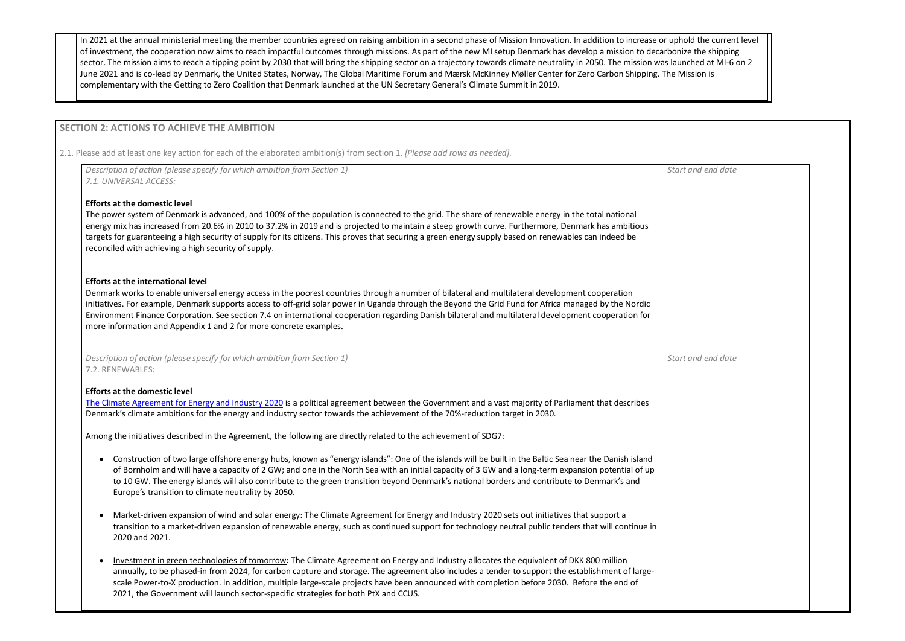In 2021 at the annual ministerial meeting the member countries agreed on raising ambition in a second phase of Mission Innovation. In addition to increase or uphold the current level of investment, the cooperation now aims to reach impactful outcomes through missions. As part of the new MI setup Denmark has develop a mission to decarbonize the shipping sector. The mission aims to reach a tipping point by 2030 that will bring the shipping sector on a trajectory towards climate neutrality in 2050. The mission was launched at MI-6 on 2 June 2021 and is co-lead by Denmark, the United States, Norway, The Global Maritime Forum and Mærsk McKinney Møller Center for Zero Carbon Shipping. The Mission is complementary with the Getting to Zero Coalition that Denmark launched at the UN Secretary General's Climate Summit in 2019.

## **SECTION 2: ACTIONS TO ACHIEVE THE AMBITION**

2.1. Please add at least one key action for each of the elaborated ambition(s) from section 1. *[Please add rows as needed].*

| Description of action (please specify for which ambition from Section 1)<br>7.1. UNIVERSAL ACCESS:                                                                                                                                                                                                                                                                                                                                                                                                                                                                                  | Start |
|-------------------------------------------------------------------------------------------------------------------------------------------------------------------------------------------------------------------------------------------------------------------------------------------------------------------------------------------------------------------------------------------------------------------------------------------------------------------------------------------------------------------------------------------------------------------------------------|-------|
| <b>Efforts at the domestic level</b><br>The power system of Denmark is advanced, and 100% of the population is connected to the grid. The share of renewable energy in the total national<br>energy mix has increased from 20.6% in 2010 to 37.2% in 2019 and is projected to maintain a steep growth curve. Furthermore, Denmark has ambitious<br>targets for guaranteeing a high security of supply for its citizens. This proves that securing a green energy supply based on renewables can indeed be<br>reconciled with achieving a high security of supply.                   |       |
| <b>Efforts at the international level</b><br>Denmark works to enable universal energy access in the poorest countries through a number of bilateral and multilateral development cooperation<br>initiatives. For example, Denmark supports access to off-grid solar power in Uganda through the Beyond the Grid Fund for Africa managed by the Nordic<br>Environment Finance Corporation. See section 7.4 on international cooperation regarding Danish bilateral and multilateral development cooperation for<br>more information and Appendix 1 and 2 for more concrete examples. |       |
| Description of action (please specify for which ambition from Section 1)<br>7.2. RENEWABLES:                                                                                                                                                                                                                                                                                                                                                                                                                                                                                        | Start |
| <b>Efforts at the domestic level</b><br>The Climate Agreement for Energy and Industry 2020 is a political agreement between the Government and a vast majority of Parliament that describes<br>Denmark's climate ambitions for the energy and industry sector towards the achievement of the 70%-reduction target in 2030.<br>Among the initiatives described in the Agreement, the following are directly related to the achievement of SDG7:                                                                                                                                      |       |
| Construction of two large offshore energy hubs, known as "energy islands": One of the islands will be built in the Baltic Sea near the Danish island<br>$\bullet$<br>of Bornholm and will have a capacity of 2 GW; and one in the North Sea with an initial capacity of 3 GW and a long-term expansion potential of up<br>to 10 GW. The energy islands will also contribute to the green transition beyond Denmark's national borders and contribute to Denmark's and<br>Europe's transition to climate neutrality by 2050.                                                         |       |
| Market-driven expansion of wind and solar energy: The Climate Agreement for Energy and Industry 2020 sets out initiatives that support a<br>$\bullet$<br>transition to a market-driven expansion of renewable energy, such as continued support for technology neutral public tenders that will continue in<br>2020 and 2021.                                                                                                                                                                                                                                                       |       |
| $\mathbf{r}$ , and the contract $\mathbf{r}$ and $\mathbf{r}$ and $\mathbf{r}$ and $\mathbf{r}$ and $\mathbf{r}$ and $\mathbf{r}$ and $\mathbf{r}$ and $\mathbf{r}$ and $\mathbf{r}$ and $\mathbf{r}$ and $\mathbf{r}$ and $\mathbf{r}$ and $\mathbf{r}$ and $\mathbf{r}$ and $\mathbf{r}$ an                                                                                                                                                                                                                                                                                       |       |

| Start and end date |  |
|--------------------|--|
|                    |  |
|                    |  |
|                    |  |
|                    |  |
|                    |  |
|                    |  |
|                    |  |
|                    |  |
|                    |  |
|                    |  |
|                    |  |
| Start and end date |  |
|                    |  |
|                    |  |
|                    |  |
|                    |  |
|                    |  |
|                    |  |
|                    |  |
|                    |  |
|                    |  |
|                    |  |
|                    |  |
|                    |  |
|                    |  |
|                    |  |
|                    |  |
|                    |  |

• Investment in green technologies of tomorrow**:** The Climate Agreement on Energy and Industry allocates the equivalent of DKK 800 million annually, to be phased-in from 2024, for carbon capture and storage. The agreement also includes a tender to support the establishment of largescale Power-to-X production. In addition, multiple large-scale projects have been announced with completion before 2030. Before the end of 2021, the Government will launch sector-specific strategies for both PtX and CCUS.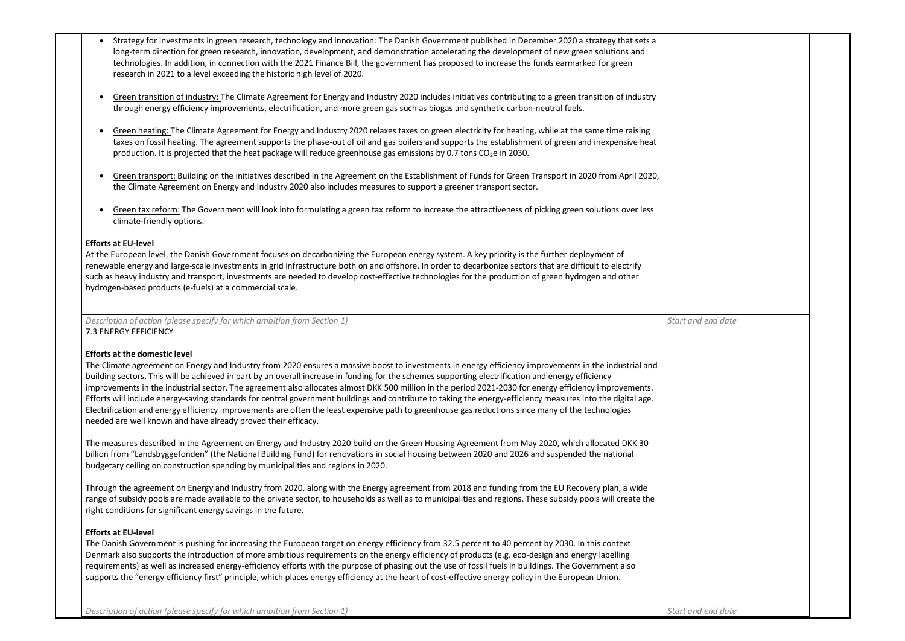- Strategy for investments in green research, technology and innovation: The Danish Government published in December 2020 a strategy that sets a long-term direction for green research, innovation, development, and demonstration accelerating the development of new green solutions and technologies. In addition, in connection with the 2021 Finance Bill, the government has proposed to increase the funds earmarked for green research in 2021 to a level exceeding the historic high level of 2020.
- Green transition of industry: The Climate Agreement for Energy and Industry 2020 includes initiatives contributing to a green transition of industry through energy efficiency improvements, electrification, and more green gas such as biogas and synthetic carbon-neutral fuels.
- Green heating: The Climate Agreement for Energy and Industry 2020 relaxes taxes on green electricity for heating, while at the same time raising taxes on fossil heating. The agreement supports the phase-out of oil and gas boilers and supports the establishment of green and inexpensive heat production. It is projected that the heat package will reduce greenhouse gas emissions by 0.7 tons  $CO<sub>2</sub>e$  in 2030.
- Green transport: Building on the initiatives described in the Agreement on the Establishment of Funds for Green Transport in 2020 from April 2020, the Climate Agreement on Energy and Industry 2020 also includes measures to support a greener transport sector.
- Green tax reform: The Government will look into formulating a green tax reform to increase the attractiveness of picking green solutions over less climate-friendly options.

## **Efforts at EU-level**

At the European level, the Danish Government focuses on decarbonizing the European energy system. A key priority is the further deployment of renewable energy and large-scale investments in grid infrastructure both on and offshore. In order to decarbonize sectors that are difficult to electrify such as heavy industry and transport, investments are needed to develop cost-effective technologies for the production of green hydrogen and other hydrogen-based products (e-fuels) at a commercial scale.

*Description of action (please specify for which ambition from Section 1)* 7.3 ENERGY EFFICIENCY

### **Efforts at the domestic level**

The Climate agreement on Energy and Industry from 2020 ensures a massive boost to investments in energy efficiency improvements in the industrial and building sectors. This will be achieved in part by an overall increase in funding for the schemes supporting electrification and energy efficiency improvements in the industrial sector. The agreement also allocates almost DKK 500 million in the period 2021-2030 for energy efficiency improvements. Efforts will include energy-saving standards for central government buildings and contribute to taking the energy-efficiency measures into the digital age. Electrification and energy efficiency improvements are often the least expensive path to greenhouse gas reductions since many of the technologies needed are well known and have already proved their efficacy.

The measures described in the Agreement on Energy and Industry 2020 build on the Green Housing Agreement from May 2020, which allocated DKK 30 billion from "Landsbyggefonden" (the National Building Fund) for renovations in social housing between 2020 and 2026 and suspended the national budgetary ceiling on construction spending by municipalities and regions in 2020.

Through the agreement on Energy and Industry from 2020, along with the Energy agreement from 2018 and funding from the EU Recovery plan, a wide range of subsidy pools are made available to the private sector, to households as well as to municipalities and regions. These subsidy pools will create the right conditions for significant energy savings in the future.

## **Efforts at EU-level**

The Danish Government is pushing for increasing the European target on energy efficiency from 32.5 percent to 40 percent by 2030. In this context Denmark also supports the introduction of more ambitious requirements on the energy efficiency of products (e.g. eco-design and energy labelling requirements) as well as increased energy-efficiency efforts with the purpose of phasing out the use of fossil fuels in buildings. The Government also supports the "energy efficiency first" principle, which places energy efficiency at the heart of cost-effective energy policy in the European Union.

| t and end date |  |
|----------------|--|
|                |  |
|                |  |
|                |  |
|                |  |
|                |  |
|                |  |
|                |  |
|                |  |
|                |  |
|                |  |
|                |  |
|                |  |
|                |  |
|                |  |
|                |  |
|                |  |
|                |  |
|                |  |
|                |  |
|                |  |
|                |  |
|                |  |
|                |  |
|                |  |
|                |  |
|                |  |
|                |  |
|                |  |
|                |  |
|                |  |
|                |  |
|                |  |
|                |  |
| t and end date |  |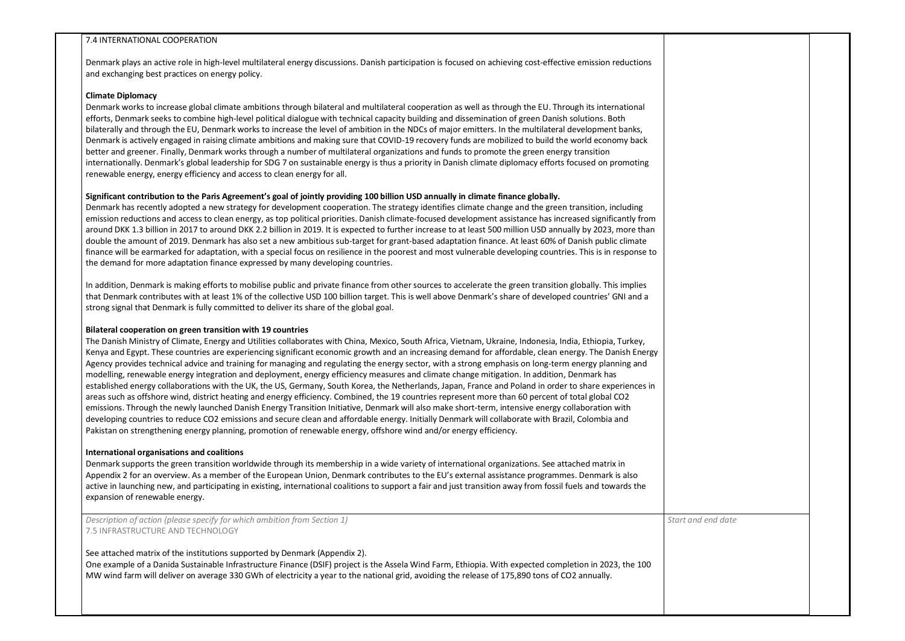### 7.4 INTERNATIONAL COOPERATION

Denmark plays an active role in high-level multilateral energy discussions. Danish participation is focused on achieving cost-effective emission reductions and exchanging best practices on energy policy.

### **Climate Diplomacy**

Denmark works to increase global climate ambitions through bilateral and multilateral cooperation as well as through the EU. Through its international efforts, Denmark seeks to combine high-level political dialogue with technical capacity building and dissemination of green Danish solutions. Both bilaterally and through the EU, Denmark works to increase the level of ambition in the NDCs of major emitters. In the multilateral development banks, Denmark is actively engaged in raising climate ambitions and making sure that COVID-19 recovery funds are mobilized to build the world economy back better and greener. Finally, Denmark works through a number of multilateral organizations and funds to promote the green energy transition internationally. Denmark's global leadership for SDG 7 on sustainable energy is thus a priority in Danish climate diplomacy efforts focused on promoting renewable energy, energy efficiency and access to clean energy for all.

## **Significant contribution to the Paris Agreement's goal of jointly providing 100 billion USD annually in climate finance globally.**

Denmark has recently adopted a new strategy for development cooperation. The strategy identifies climate change and the green transition, including emission reductions and access to clean energy, as top political priorities. Danish climate-focused development assistance has increased significantly from around DKK 1.3 billion in 2017 to around DKK 2.2 billion in 2019. It is expected to further increase to at least 500 million USD annually by 2023, more than double the amount of 2019. Denmark has also set a new ambitious sub-target for grant-based adaptation finance. At least 60% of Danish public climate finance will be earmarked for adaptation, with a special focus on resilience in the poorest and most vulnerable developing countries. This is in response to the demand for more adaptation finance expressed by many developing countries.

In addition, Denmark is making efforts to mobilise public and private finance from other sources to accelerate the green transition globally. This implies that Denmark contributes with at least 1% of the collective USD 100 billion target. This is well above Denmark's share of developed countries' GNI and a strong signal that Denmark is fully committed to deliver its share of the global goal.

## **Bilateral cooperation on green transition with 19 countries**

The Danish Ministry of Climate, Energy and Utilities collaborates with China, Mexico, South Africa, Vietnam, Ukraine, Indonesia, India, Ethiopia, Turkey, Kenya and Egypt. These countries are experiencing significant economic growth and an increasing demand for affordable, clean energy. The Danish Energy Agency provides technical advice and training for managing and regulating the energy sector, with a strong emphasis on long-term energy planning and modelling, renewable energy integration and deployment, energy efficiency measures and climate change mitigation. In addition, Denmark has established energy collaborations with the UK, the US, Germany, South Korea, the Netherlands, Japan, France and Poland in order to share experiences in areas such as offshore wind, district heating and energy efficiency. Combined, the 19 countries represent more than 60 percent of total global CO2 emissions. Through the newly launched Danish Energy Transition Initiative, Denmark will also make short-term, intensive energy collaboration with developing countries to reduce CO2 emissions and secure clean and affordable energy. Initially Denmark will collaborate with Brazil, Colombia and Pakistan on strengthening energy planning, promotion of renewable energy, offshore wind and/or energy efficiency.

## **International organisations and coalitions**

Denmark supports the green transition worldwide through its membership in a wide variety of international organizations. See attached matrix in Appendix 2 for an overview. As a member of the European Union, Denmark contributes to the EU's external assistance programmes. Denmark is also active in launching new, and participating in existing, international coalitions to support a fair and just transition away from fossil fuels and towards the expansion of renewable energy.

*Description of action (please specify for which ambition from Section 1)* 7.5 INFRASTRUCTURE AND TECHNOLOGY

See attached matrix of the institutions supported by Denmark (Appendix 2).

One example of a Danida Sustainable Infrastructure Finance (DSIF) project is the Assela Wind Farm, Ethiopia. With expected completion in 2023, the 100 MW wind farm will deliver on average 330 GWh of electricity a year to the national grid, avoiding the release of 175,890 tons of CO2 annually.

*Start and end date* 

| t and end date |  |
|----------------|--|
|                |  |
|                |  |
|                |  |
|                |  |
|                |  |
|                |  |
|                |  |
|                |  |
|                |  |
|                |  |
|                |  |
|                |  |
|                |  |
|                |  |
|                |  |
|                |  |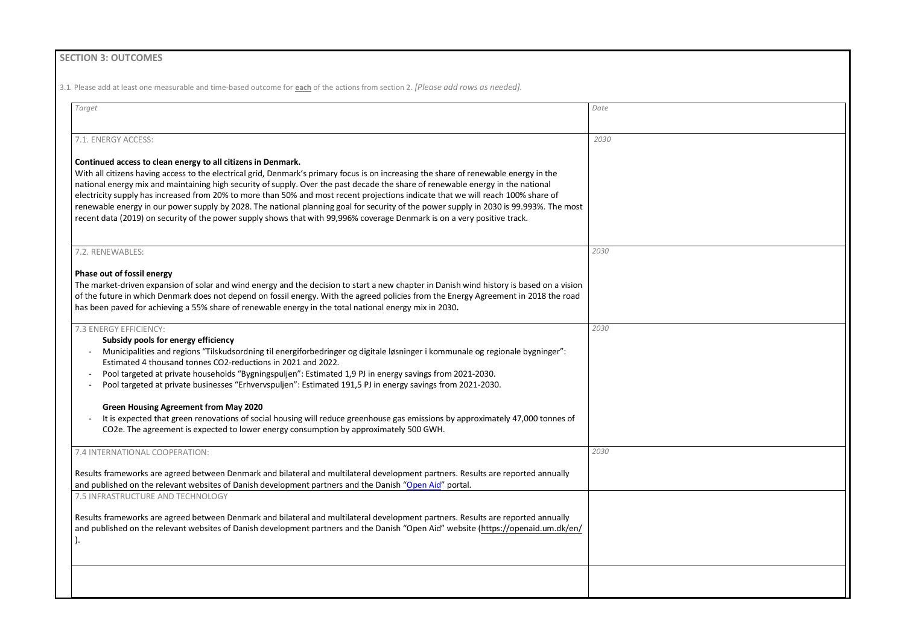| Target                                                                                                                                                                                                                                                                                                                                                                                                                                                                                                                                                                                                                                                                                                                                             | Date |
|----------------------------------------------------------------------------------------------------------------------------------------------------------------------------------------------------------------------------------------------------------------------------------------------------------------------------------------------------------------------------------------------------------------------------------------------------------------------------------------------------------------------------------------------------------------------------------------------------------------------------------------------------------------------------------------------------------------------------------------------------|------|
| 7.1. ENERGY ACCESS:                                                                                                                                                                                                                                                                                                                                                                                                                                                                                                                                                                                                                                                                                                                                | 2030 |
| Continued access to clean energy to all citizens in Denmark.<br>With all citizens having access to the electrical grid, Denmark's primary focus is on increasing the share of renewable energy in the<br>national energy mix and maintaining high security of supply. Over the past decade the share of renewable energy in the national<br>electricity supply has increased from 20% to more than 50% and most recent projections indicate that we will reach 100% share of<br>renewable energy in our power supply by 2028. The national planning goal for security of the power supply in 2030 is 99.993%. The most<br>recent data (2019) on security of the power supply shows that with 99,996% coverage Denmark is on a very positive track. |      |
| 7.2. RENEWABLES:                                                                                                                                                                                                                                                                                                                                                                                                                                                                                                                                                                                                                                                                                                                                   | 2030 |
| <b>Phase out of fossil energy</b><br>The market-driven expansion of solar and wind energy and the decision to start a new chapter in Danish wind history is based on a vision<br>of the future in which Denmark does not depend on fossil energy. With the agreed policies from the Energy Agreement in 2018 the road<br>has been paved for achieving a 55% share of renewable energy in the total national energy mix in 2030.                                                                                                                                                                                                                                                                                                                    |      |
| 7.3 ENERGY EFFICIENCY:<br>Subsidy pools for energy efficiency<br>Municipalities and regions "Tilskudsordning til energiforbedringer og digitale løsninger i kommunale og regionale bygninger":<br>Estimated 4 thousand tonnes CO2-reductions in 2021 and 2022.<br>Pool targeted at private households "Bygningspuljen": Estimated 1,9 PJ in energy savings from 2021-2030.<br>Pool targeted at private businesses "Erhvervspuljen": Estimated 191,5 PJ in energy savings from 2021-2030.                                                                                                                                                                                                                                                           | 2030 |
| <b>Green Housing Agreement from May 2020</b><br>It is expected that green renovations of social housing will reduce greenhouse gas emissions by approximately 47,000 tonnes of<br>CO2e. The agreement is expected to lower energy consumption by approximately 500 GWH.                                                                                                                                                                                                                                                                                                                                                                                                                                                                            |      |
| 7.4 INTERNATIONAL COOPERATION:                                                                                                                                                                                                                                                                                                                                                                                                                                                                                                                                                                                                                                                                                                                     | 2030 |
| Results frameworks are agreed between Denmark and bilateral and multilateral development partners. Results are reported annually<br>and published on the relevant websites of Danish development partners and the Danish "Open Aid" portal.                                                                                                                                                                                                                                                                                                                                                                                                                                                                                                        |      |
| 7.5 INFRASTRUCTURE AND TECHNOLOGY                                                                                                                                                                                                                                                                                                                                                                                                                                                                                                                                                                                                                                                                                                                  |      |
| Results frameworks are agreed between Denmark and bilateral and multilateral development partners. Results are reported annually<br>and published on the relevant websites of Danish development partners and the Danish "Open Aid" website (https://openaid.um.dk/en/                                                                                                                                                                                                                                                                                                                                                                                                                                                                             |      |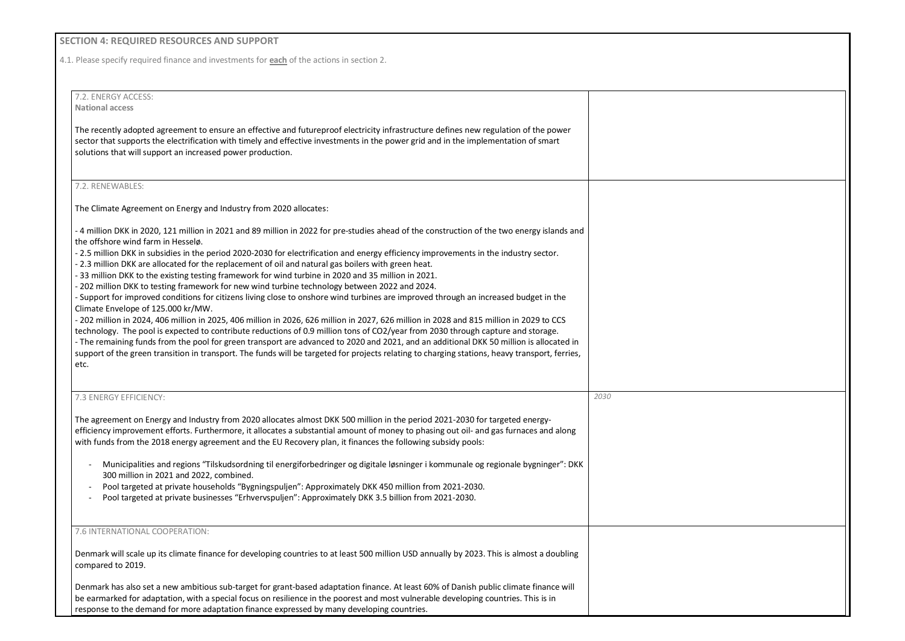## **SECTION 4: REQUIRED RESOURCES AND SUPPORT**

4.1. Please specify required finance and investments for **each** of the actions in section 2.

7.2. ENERGY ACCESS: **National access**

The recently adopted agreement to ensure an effective and futureproof electricity infrastructure defines new regulation of the power sector that supports the electrification with timely and effective investments in the power grid and in the implementation of smart solutions that will support an increased power production.

#### 7.2. RENEWABLES:

The Climate Agreement on Energy and Industry from 2020 allocates:

- 4 million DKK in 2020, 121 million in 2021 and 89 million in 2022 for pre-studies ahead of the construction of the two energy islands and the offshore wind farm in Hesselø.

- 2.5 million DKK in subsidies in the period 2020-2030 for electrification and energy efficiency improvements in the industry sector.

- 2.3 million DKK are allocated for the replacement of oil and natural gas boilers with green heat.

- 33 million DKK to the existing testing framework for wind turbine in 2020 and 35 million in 2021.

- 202 million DKK to testing framework for new wind turbine technology between 2022 and 2024.

- Support for improved conditions for citizens living close to onshore wind turbines are improved through an increased budget in the Climate Envelope of 125.000 kr/MW.

- 202 million in 2024, 406 million in 2025, 406 million in 2026, 626 million in 2027, 626 million in 2028 and 815 million in 2029 to CCS technology. The pool is expected to contribute reductions of 0.9 million tons of CO2/year from 2030 through capture and storage.

- The remaining funds from the pool for green transport are advanced to 2020 and 2021, and an additional DKK 50 million is allocated in support of the green transition in transport. The funds will be targeted for projects relating to charging stations, heavy transport, ferries, etc.

| 7.3 ENERGY EFFICIENCY:                                                                                                                                                                                                                                                                                                                                                                     | 2030 |
|--------------------------------------------------------------------------------------------------------------------------------------------------------------------------------------------------------------------------------------------------------------------------------------------------------------------------------------------------------------------------------------------|------|
| The agreement on Energy and Industry from 2020 allocates almost DKK 500 million in the period 2021-2030 for targeted energy-<br>efficiency improvement efforts. Furthermore, it allocates a substantial amount of money to phasing out oil- and gas furnaces and along<br>with funds from the 2018 energy agreement and the EU Recovery plan, it finances the following subsidy pools:     |      |
| Municipalities and regions "Tilskudsordning til energiforbedringer og digitale løsninger i kommunale og regionale bygninger": DKK<br>300 million in 2021 and 2022, combined.<br>Pool targeted at private households "Bygningspuljen": Approximately DKK 450 million from 2021-2030.<br>Pool targeted at private businesses "Erhvervspuljen": Approximately DKK 3.5 billion from 2021-2030. |      |
| 7.6 INTERNATIONAL COOPERATION:                                                                                                                                                                                                                                                                                                                                                             |      |
| Denmark will scale up its climate finance for developing countries to at least 500 million USD annually by 2023. This is almost a doubling<br>compared to 2019.                                                                                                                                                                                                                            |      |
| Denmark has also set a new ambitious sub-target for grant-based adaptation finance. At least 60% of Danish public climate finance will<br>be earmarked for adaptation, with a special focus on resilience in the poorest and most vulnerable developing countries. This is in<br>response to the demand for more adaptation finance expressed by many developing countries.                |      |

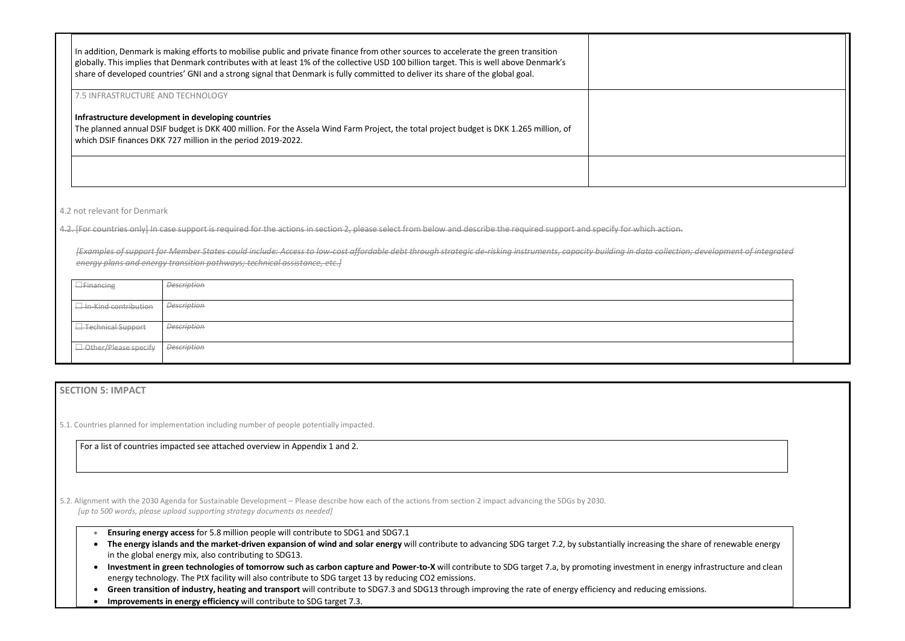| In addition, Denmark is making efforts to mobilise public and private finance from other sources to accelerate the green transition<br>globally. This implies that Denmark contributes with at least 1% of the collective USD 100 billion target. This is well above Denmark's<br>share of developed countries' GNI and a strong signal that Denmark is fully committed to deliver its share of the global goal. |  |
|------------------------------------------------------------------------------------------------------------------------------------------------------------------------------------------------------------------------------------------------------------------------------------------------------------------------------------------------------------------------------------------------------------------|--|
| 7.5 INFRASTRUCTURE AND TECHNOLOGY<br>Infrastructure development in developing countries<br>The planned annual DSIF budget is DKK 400 million. For the Assela Wind Farm Project, the total project budget is DKK 1.265 million, of<br>which DSIF finances DKK 727 million in the period 2019-2022.                                                                                                                |  |
|                                                                                                                                                                                                                                                                                                                                                                                                                  |  |

4.2 not relevant for Denmark

4.2. [For countries only] In case support is required for the actions in section 2, please select from below and describe the required support and specify for which action.

*[Examples of support for Member States could include: Access to low-cost affordable debt through strategic de-risking instruments, capacity building in data collection; development of integrated energy plans and energy transition pathways; technical assistance, etc.]*

| <b>E</b> Financing               | <b>Description</b> |
|----------------------------------|--------------------|
| $\Box$ In-Kind contribution      | <b>Description</b> |
| ι <del>□ Technical Support</del> | <b>Description</b> |
| Other/Please specify             | <b>Description</b> |

## **SECTION 5: IMPACT**

5.1. Countries planned for implementation including number of people potentially impacted.

For a list of countries impacted see attached overview in Appendix 1 and 2.

5.2. Alignment with the 2030 Agenda for Sustainable Development – Please describe how each of the actions from section 2 impact advancing the SDGs by 2030. *[up to 500 words, please upload supporting strategy documents as needed]* 

- **Ensuring energy access** for 5.8 million people will contribute to SDG1 and SDG7.1
- **The energy islands and the market-driven expansion of wind and solar energy** will contribute to advancing SDG target 7.2, by substantially increasing the share of renewable energy in the global energy mix, also contributing to SDG13.
- Investment in green technologies of tomorrow such as carbon capture and Power-to-X will contribute to SDG target 7.a, by promoting investment in energy infrastructure and clean energy technology. The PtX facility will also contribute to SDG target 13 by reducing CO2 emissions.
- **Green transition of industry, heating and transport** will contribute to SDG7.3 and SDG13 through improving the rate of energy efficiency and reducing emissions.
- **Improvements in energy efficiency** will contribute to SDG target 7.3.

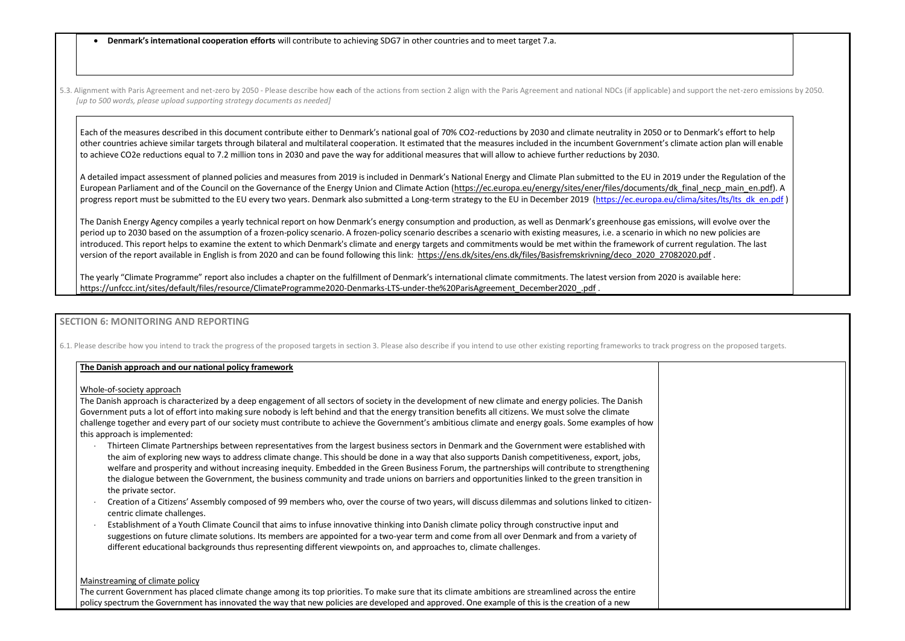- **Denmark's international cooperation efforts** will contribute to achieving SDG7 in other countries and to meet target 7.a.
- 5.3. Alignment with Paris Agreement and net-zero by 2050 Please describe how each of the actions from section 2 align with the Paris Agreement and national NDCs (if applicable) and *[up to 500 words, please upload supporting strategy documents as needed]*

Each of the measures described in this document contribute either to Denmark's national goal of 70% CO2-reductions by 2030 and climate neutrality in 2050 or to other countries achieve similar targets through bilateral and multilateral cooperation. It estimated that the measures included in the incumbent Government's clim to achieve CO2e reductions equal to 7.2 million tons in 2030 and pave the way for additional measures that will allow to achieve further reductions by 2030.

A detailed impact assessment of planned policies and measures from 2019 is included in Denmark's National Energy and Climate Plan submitted to the EU in 2019 European Parliament and of the Council on the Governance of the Energy Union and Climate Action (https://ec.europa.eu/energy/sites/ener/files/documents/dk progress report must be submitted to the EU every two years. Denmark also submitted a Long-term strategy to the EU in December 2019 (https://ec.europa.eu/cli

The Danish Energy Agency compiles a yearly technical report on how Denmark's energy consumption and production, as well as Denmark's greenhouse gas emissions, will as Denmark's greenhouse gas emissions, will evolve the the period up to 2030 based on the assumption of a frozen-policy scenario. A frozen-policy scenario describes a scenario with existing measures, i.e. a scenario in which introduced. This report helps to examine the extent to which Denmark's climate and energy targets and commitments would be met within the framework of curre version of the report available in English is from 2020 and can be found following this link: https://ens.dk/sites/ens.dk/files/Basisfremskrivning/deco\_2020\_270820

The yearly "Climate Programme" report also includes a chapter on the fulfillment of Denmark's international climate commitments. The latest version from 2020 is [https://unfccc.int/sites/default/files/resource/ClimateProgramme2020-Denmarks-LTS-under-the%20ParisAgreement\\_December2020\\_.pdf](https://unfccc.int/sites/default/files/resource/ClimateProgramme2020-Denmarks-LTS-under-the%20ParisAgreement_December2020_.pdf) .

## **SECTION 6: MONITORING AND REPORTING**

6.1. Please describe how you intend to track the progress of the proposed targets in section 3. Please also describe if you intend to use other existing reporting frameworks to track progress on the proposed targets.

### **The Danish approach and our national policy framework**

### Whole-of-society approach

The Danish approach is characterized by a deep engagement of all sectors of society in the development of new climate and energy policies. The Danish Government puts a lot of effort into making sure nobody is left behind and that the energy transition benefits all citizens. We must solve the climate challenge together and every part of our society must contribute to achieve the Government's ambitious climate and energy goals. Some examples of how this approach is implemented:

- Thirteen Climate Partnerships between representatives from the largest business sectors in Denmark and the Government were established with the aim of exploring new ways to address climate change. This should be done in a way that also supports Danish competitiveness, export, jobs, welfare and prosperity and without increasing inequity. Embedded in the Green Business Forum, the partnerships will contribute to strengthening the dialogue between the Government, the business community and trade unions on barriers and opportunities linked to the green transition in the private sector.
- Creation of a Citizens' Assembly composed of 99 members who, over the course of two years, will discuss dilemmas and solutions linked to citizencentric climate challenges.
- Establishment of a Youth Climate Council that aims to infuse innovative thinking into Danish climate policy through constructive input and suggestions on future climate solutions. Its members are appointed for a two-year term and come from all over Denmark and from a variety of different educational backgrounds thus representing different viewpoints on, and approaches to, climate challenges.

### Mainstreaming of climate policy

The current Government has placed climate change among its top priorities. To make sure that its climate ambitions are streamlined across the entire policy spectrum the Government has innovated the way that new policies are developed and approved. One example of this is the creation of a new

| d support the net-zero emissions by 2050.                                                          |  |
|----------------------------------------------------------------------------------------------------|--|
| Denmark's effort to help<br>nate action plan will enable                                           |  |
| under the Regulation of the<br>final necp main en.pdf). A<br>ima/sites/lts/lts dk en.pdf)          |  |
| ons, will evolve over the<br>h no new policies are<br>ent regulation. The last<br><u>020.pdf</u> . |  |
| s available here:                                                                                  |  |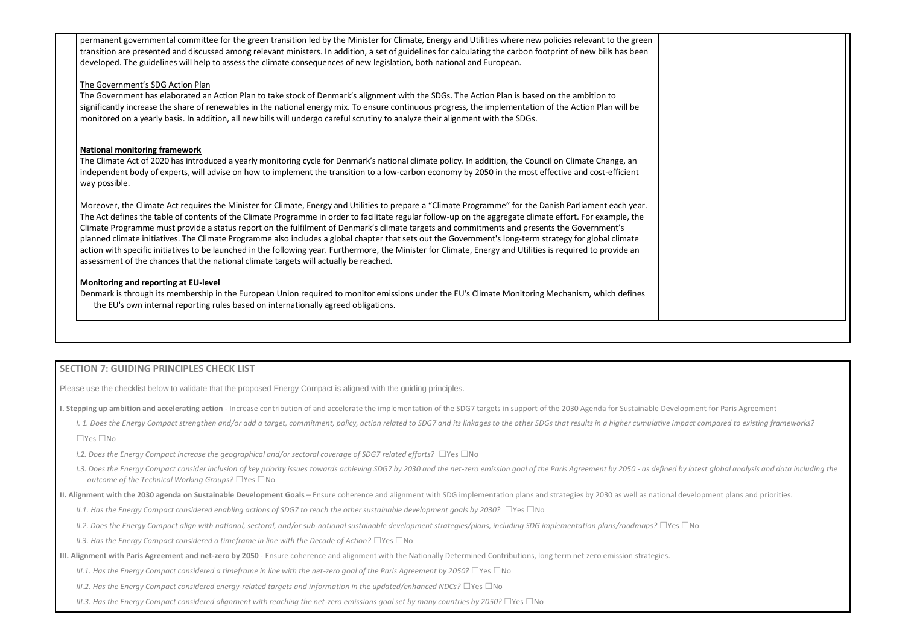permanent governmental committee for the green transition led by the Minister for Climate, Energy and Utilities where new policies relevant to the green transition are presented and discussed among relevant ministers. In addition, a set of guidelines for calculating the carbon footprint of new bills has been developed. The guidelines will help to assess the climate consequences of new legislation, both national and European.

## The Government's SDG Action Plan

The Government has elaborated an Action Plan to take stock of Denmark's alignment with the SDGs. The Action Plan is based on the ambition to significantly increase the share of renewables in the national energy mix. To ensure continuous progress, the implementation of the Action Plan will be monitored on a yearly basis. In addition, all new bills will undergo careful scrutiny to analyze their alignment with the SDGs.

## **National monitoring framework**

The Climate Act of 2020 has introduced a yearly monitoring cycle for Denmark's national climate policy. In addition, the Council on Climate Change, an independent body of experts, will advise on how to implement the transition to a low-carbon economy by 2050 in the most effective and cost-efficient way possible.

Moreover, the Climate Act requires the Minister for Climate, Energy and Utilities to prepare a "Climate Programme" for the Danish Parliament each year. The Act defines the table of contents of the Climate Programme in order to facilitate regular follow-up on the aggregate climate effort. For example, the Climate Programme must provide a status report on the fulfilment of Denmark's climate targets and commitments and presents the Government's planned climate initiatives. The Climate Programme also includes a global chapter thatsets out the Government's long-term strategy for global climate action with specific initiatives to be launched in the following year. Furthermore, the Minister for Climate, Energy and Utilities is required to provide an assessment of the chances that the national climate targets will actually be reached.

## **Monitoring and reporting at EU-level**

Denmark is through its membership in the European Union required to monitor emissions under the EU's Climate Monitoring Mechanism, which defines the EU's own internal reporting rules based on internationally agreed obligations.

## **SECTION 7: GUIDING PRINCIPLES CHECK LIST**

Please use the checklist below to validate that the proposed Energy Compact is aligned with the guiding principles.

**I. Stepping up ambition and accelerating action** - Increase contribution of and accelerate the implementation of the SDG7 targets in support of the 2030 Agenda for Sustainable Development for Paris Agreement

- I. 1. Does the Energy Compact strengthen and/or add a target, commitment, policy, action related to SDG7 and its linkages to the other SDGs that results in a higher cumulative impact compared to existing frameworks? ☐Yes ☐No
- *I.2. Does the Energy Compact increase the geographical and/or sectoral coverage of SDG7 related efforts?* ☐Yes ☐No
- I.3. Does the Energy Compact consider inclusion of key priority issues towards achieving SDG7 by 2030 and the net-zero emission goal of the Paris Agreement by 2050 as defined by latest global analysis and data including *outcome of the Technical Working Groups?* ☐Yes ☐No
- **II. Alignment with the 2030 agenda on Sustainable Development Goals** Ensure coherence and alignment with SDG implementation plans and strategies by 2030 as well as national development plans and priorities.
	- *II.1. Has the Energy Compact considered enabling actions of SDG7 to reach the other sustainable development goals by 2030?* □Yes □No
	- *II.2. Does the Energy Compact align with national, sectoral, and/or sub-national sustainable development strategies/plans, including SDG implementation plans/roadmaps?* ☐Yes ☐No
	- *II.3. Has the Energy Compact considered a timeframe in line with the Decade of Action?* □Yes □No
- **III. Alignment with Paris Agreement and net-zero by 2050** Ensure coherence and alignment with the Nationally Determined Contributions, long term net zero emission strategies.
	- *III.1. Has the Energy Compact considered a timeframe in line with the net-zero goal of the Paris Agreement by 2050?* □Yes □No
	- *III.2. Has the Energy Compact considered energy-related targets and information in the updated/enhanced NDCs?* ☐Yes ☐No
	- *III.3. Has the Energy Compact considered alignment with reaching the net-zero emissions goal set by many countries by 2050?* □Yes □No